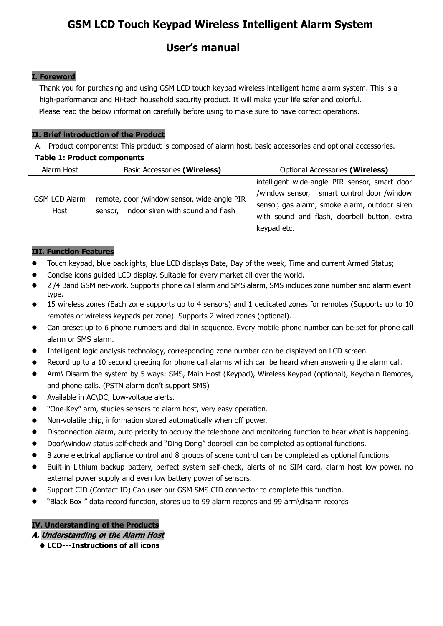# **GSM LCD Touch Keypad Wireless Intelligent Alarm System**

# **User's manual**

# **I. Foreword**

Thank you for purchasing and using GSM LCD touch keypad wireless intelligent home alarm system. This is a high-performance and Hi-tech household security product. It will make your life safer and colorful. Please read the below information carefully before using to make sure to have correct operations.

# **II. Brief introduction of the Product**

A. Product components: This product is composed of alarm host, basic accessories and optional accessories.

# **Table 1: Product components**

| Alarm Host                   | <b>Basic Accessories (Wireless)</b>                                                      | Optional Accessories (Wireless)                                                                                                                                                                             |
|------------------------------|------------------------------------------------------------------------------------------|-------------------------------------------------------------------------------------------------------------------------------------------------------------------------------------------------------------|
| <b>GSM LCD Alarm</b><br>Host | remote, door /window sensor, wide-angle PIR<br>sensor, indoor siren with sound and flash | intelligent wide-angle PIR sensor, smart door<br>/window sensor, smart control door /window<br>sensor, gas alarm, smoke alarm, outdoor siren<br>with sound and flash, doorbell button, extra<br>keypad etc. |

# **III. Function Features**

- Touch keypad, blue backlights; blue LCD displays Date, Day of the week, Time and current Armed Status;
- Concise icons guided LCD display. Suitable for every market all over the world.
- 2 /4 Band GSM net-work. Supports phone call alarm and SMS alarm, SMS includes zone number and alarm event type.
- 15 wireless zones (Each zone supports up to 4 sensors) and 1 dedicated zones for remotes (Supports up to 10 remotes or wireless keypads per zone). Supports 2 wired zones (optional).
- Can preset up to 6 phone numbers and dial in sequence. Every mobile phone number can be set for phone call alarm or SMS alarm.
- Intelligent logic analysis technology, corresponding zone number can be displayed on LCD screen.
- Record up to a 10 second greeting for phone call alarms which can be heard when answering the alarm call.
- Arm\ Disarm the system by 5 ways: SMS, Main Host (Keypad), Wireless Keypad (optional), Keychain Remotes, and phone calls. (PSTN alarm don't support SMS)
- Available in AC\DC, Low-voltage alerts.
- "One-Key" arm, studies sensors to alarm host, very easy operation.
- Non-volatile chip, information stored automatically when off power.
- Disconnection alarm, auto priority to occupy the telephone and monitoring function to hear what is happening.
- Door\window status self-check and "Ding Dong" doorbell can be completed as optional functions.
- 8 zone electrical appliance control and 8 groups of scene control can be completed as optional functions.
- Built-in Lithium backup battery, perfect system self-check, alerts of no SIM card, alarm host low power, no external power supply and even low battery power of sensors.
- Support CID (Contact ID).Can user our GSM SMS CID connector to complete this function.
- "Black Box " data record function, stores up to 99 alarm records and 99 arm\disarm records

# **IV. Understanding of the Products**

**A. Understanding of the Alarm Host**

**LCD---Instructions of allicons**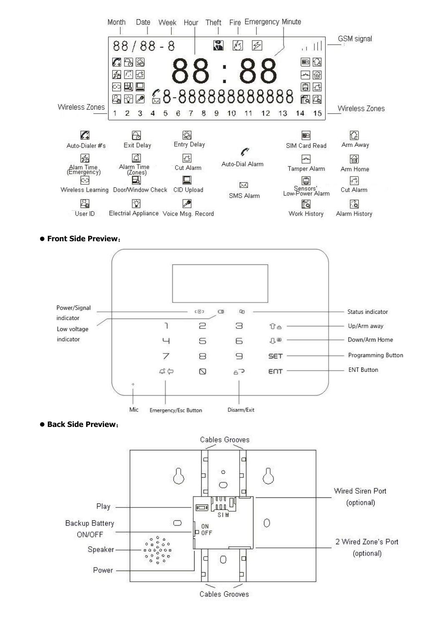

#### **Front Side Preview**:





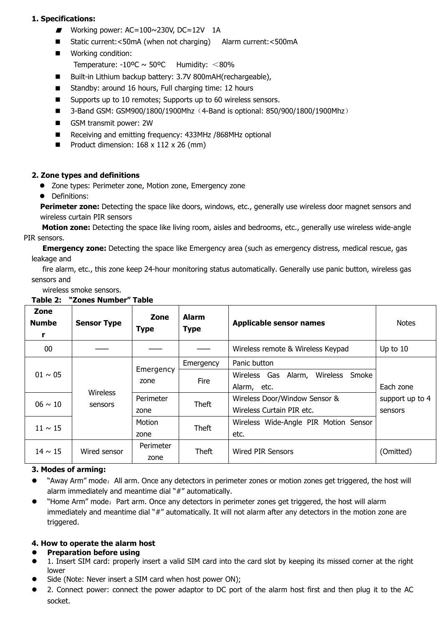# **1. Specifications:**

- Working power: AC=100~230V, DC=12V 1A
- Static current:<50mA (when not charging) Alarm current:<500mA
- **Norking condition:** 
	- Temperature:  $-10^{\circ}C \sim 50^{\circ}C$  Humidity: <80%
- Built-in Lithium backup battery: 3.7V 800mAH(rechargeable),
- Standby: around 16 hours, Full charging time: 12 hours
- Supports up to 10 remotes; Supports up to 60 wireless sensors.
- $\blacksquare$  3-Band GSM: GSM900/1800/1900Mhz (4-Band is optional: 850/900/1800/1900Mhz)
- GSM transmit power: 2W
- Receiving and emitting frequency: 433MHz /868MHz optional
- Product dimension:  $168 \times 112 \times 26$  (mm)

# **2. Zone types and definitions**

- Zone types: Perimeter zone, Motion zone, Emergency zone
- Definitions:

**Perimeter zone:** Detecting the space like doors, windows, etc., generally use wireless door magnet sensors and wireless curtain PIR sensors

**Motion zone:** Detecting the space like living room, aisles and bedrooms, etc., generally use wireless wide-angle PIR sensors.

**Emergency zone:** Detecting the space like Emergency area (such as emergency distress, medical rescue, gas leakage and

fire alarm, etc., this zone keep 24-hour monitoring status automatically. Generally use panic button, wireless gas sensors and

wireless smoke sensors.

| Zone<br><b>Numbe</b><br>r | <b>Sensor Type</b> | Zone<br><b>Type</b>   | <b>Alarm</b><br><b>Type</b>           | <b>Applicable sensor names</b>                              | <b>Notes</b>    |
|---------------------------|--------------------|-----------------------|---------------------------------------|-------------------------------------------------------------|-----------------|
| 00                        |                    |                       |                                       | Wireless remote & Wireless Keypad                           | Up to 10        |
| $01 \sim 05$              |                    | Emergency             | Emergency                             | Panic button<br>Wireless<br>Wireless Gas<br>Alarm,<br>Smoke |                 |
|                           |                    | <b>Fire</b><br>zone   | Alarm, etc.                           | Each zone                                                   |                 |
| $06 \sim 10$              | sensors            | Wireless<br>Perimeter | Theft                                 | Wireless Door/Window Sensor &                               | support up to 4 |
|                           |                    | zone                  |                                       | Wireless Curtain PIR etc.                                   | sensors         |
| $11 \sim 15$              | Motion             | Theft                 | Wireless Wide-Angle PIR Motion Sensor |                                                             |                 |
|                           |                    | zone                  |                                       | etc.                                                        |                 |
| $14 \sim 15$              | Wired sensor       | Perimeter             | Theft                                 | <b>Wired PIR Sensors</b>                                    | (Omitted)       |
|                           |                    | zone                  |                                       |                                                             |                 |

# **Table 2: "Zones Number" Table**

# **3. Modes of arming:**

- "Away Arm" mode: All arm. Once any detectors in perimeter zones or motion zones get triggered, the host will alarm immediately and meantime dial "#" automatically.
- "Home Arm" mode: Part arm. Once any detectors in perimeter zones get triggered, the host will alarm immediately and meantime dial "#" automatically. It will not alarm after any detectors in the motion zone are triggered.

# **4. How to operate the alarm host**

# **Preparation before using**

- 1. Insert SIM card: properly insert a valid SIM card into the card slot by keeping its missed corner at the right lower
- Side (Note: Never insert a SIM card when host power ON);
- 2. Connect power: connect the power adaptor to DC port of the alarm host first and then plug it to the AC socket.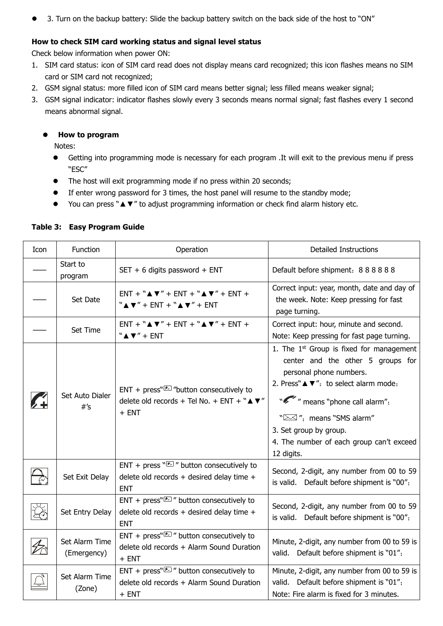• 3. Turn on the backup battery: Slide the backup battery switch on the back side of the host to "ON"

# **How to check SIM card working status and signal level status**

Check below information when power ON:

- 1. SIM card status: icon of SIM card read does not display means card recognized; this icon flashes means no SIM card or SIM card not recognized;
- 2. GSM signal status: more filled icon of SIM card means better signal; less filled means weaker signal;
- 3. GSM signal indicator: indicator flashes slowly every 3 seconds means normal signal; fast flashes every 1 second means abnormal signal.

# **How to program**

Notes:

- Getting into programming mode is necessary for each program .It will exit to the previous menu if press "ESC"
- The host will exit programming mode if no press within 20 seconds;
- If enter wrong password for 3 times, the host panel will resume to the standby mode;
- You can press "▲▼" to adjust programming information or check find alarm history etc.

| Icon                             | Function                          | Operation                                                                                                                                     | <b>Detailed Instructions</b>                                                                                                                                                                                                                                                                                                                  |
|----------------------------------|-----------------------------------|-----------------------------------------------------------------------------------------------------------------------------------------------|-----------------------------------------------------------------------------------------------------------------------------------------------------------------------------------------------------------------------------------------------------------------------------------------------------------------------------------------------|
|                                  | Start to<br>program               | SET + 6 digits password + ENT                                                                                                                 | Default before shipment: 888888                                                                                                                                                                                                                                                                                                               |
|                                  | Set Date                          | $ENT + "A V" + ENT + "A V" + ENT +$<br>" $\blacktriangle \blacktriangledown$ " + ENT + " $\blacktriangle \blacktriangledown$ " + ENT          | Correct input: year, month, date and day of<br>the week. Note: Keep pressing for fast<br>page turning.                                                                                                                                                                                                                                        |
|                                  | Set Time                          | $ENT + "A V" + ENT + "A V" + ENT +$<br>$``A$ $\nabla$ " + ENT                                                                                 | Correct input: hour, minute and second.<br>Note: Keep pressing for fast page turning.                                                                                                                                                                                                                                                         |
| $\sim$ $+$                       | Set Auto Dialer<br>$#^{\prime}$ s | ENT + press" $\mathbb{Z}$ "button consecutively to<br>delete old records + Tel No. + ENT + $``\blacktriangle \blacktriangledown''$<br>$+$ ENT | 1. The $1st$ Group is fixed for management<br>center and the other 5 groups for<br>personal phone numbers.<br>2. Press" $\blacktriangle \blacktriangledown$ ": to select alarm mode:<br>" means "phone call alarm";<br>" $\boxtimes$ ": means "SMS alarm"<br>3. Set group by group.<br>4. The number of each group can't exceed<br>12 digits. |
|                                  | Set Exit Delay                    | ENT + press $\sqrt[n]{\mathcal{F}}$ " button consecutively to<br>delete old records + desired delay time +<br><b>ENT</b>                      | Second, 2-digit, any number from 00 to 59<br>is valid. Default before shipment is "00";                                                                                                                                                                                                                                                       |
| $\bigoplus_{i=1}^n \mathbb{Z}_i$ | Set Entry Delay                   | ENT + press" $\sqrt{2}$ " button consecutively to<br>delete old records + desired delay time +<br><b>ENT</b>                                  | Second, 2-digit, any number from 00 to 59<br>is valid. Default before shipment is "00";                                                                                                                                                                                                                                                       |
| $\mathscr{Z}$                    | Set Alarm Time<br>(Emergency)     | ENT + press" $\sqrt{2}$ " button consecutively to<br>delete old records + Alarm Sound Duration<br>$+$ ENT                                     | Minute, 2-digit, any number from 00 to 59 is<br>valid. Default before shipment is "01";                                                                                                                                                                                                                                                       |
|                                  | Set Alarm Time<br>(Zone)          | ENT + press" $\sqrt{2}$ " button consecutively to<br>delete old records + Alarm Sound Duration<br>$+$ ENT                                     | Minute, 2-digit, any number from 00 to 59 is<br>valid. Default before shipment is "01";<br>Note: Fire alarm is fixed for 3 minutes.                                                                                                                                                                                                           |

#### **Table 3: Easy Program Guide**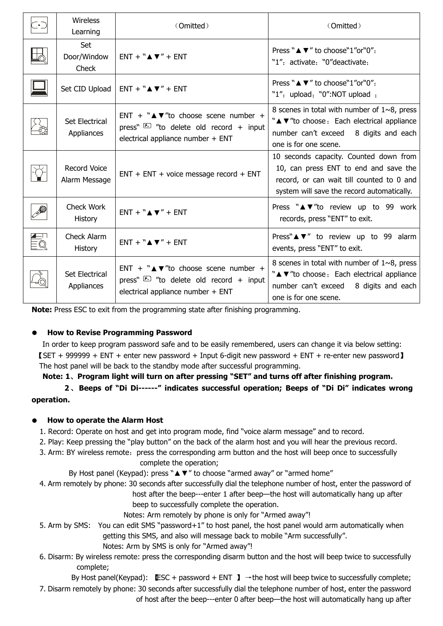| $\bar{\mathbb{L}}^\bullet\bar{\mathbb{L}}$ | <b>Wireless</b><br>Learning         | (Omitted)                                                                                                                                                | (Omitted)                                                                                                                                                                  |
|--------------------------------------------|-------------------------------------|----------------------------------------------------------------------------------------------------------------------------------------------------------|----------------------------------------------------------------------------------------------------------------------------------------------------------------------------|
| 马                                          | Set<br>Door/Window<br>Check         | $ENT + "A V" + ENT$                                                                                                                                      | Press "A $\Psi$ " to choose "1" or "0":<br>"1": activate: "0"deactivate:                                                                                                   |
|                                            |                                     | Set CID Upload   ENT + $``\blacktriangle \blacktriangledown'' + ENT$                                                                                     | Press " $\blacktriangle \blacktriangledown$ " to choose "1" or "0":<br>"1": upload; "0":NOT upload;                                                                        |
|                                            | Set Electrical<br>Appliances        | ENT + $"\triangle \blacktriangledown$ "to choose scene number +<br>press" $\boxed{2}$ "to delete old record + input<br>electrical appliance number + ENT | 8 scenes in total with number of $1~9$ , press<br>"A V"to choose, Each electrical appliance<br>number can't exceed 8 digits and each<br>one is for one scene.              |
|                                            | Record Voice<br>Alarm Message       | $ENT + ENT + voice message record + ENT$                                                                                                                 | 10 seconds capacity. Counted down from<br>10, can press ENT to end and save the<br>record, or can wait till counted to 0 and<br>system will save the record automatically. |
|                                            | Check Work<br>History               | $ENT + "A V" + ENT$                                                                                                                                      | Press "A V"to review up to 99 work<br>records, press "ENT" to exit.                                                                                                        |
| EQ<br>EQ                                   | Check Alarm<br>History              | $ENT + "A V" + ENT$                                                                                                                                      | Press" <b>N</b> $\mathbf{v}$ " to review up to 99 alarm<br>events, press "ENT" to exit.                                                                                    |
|                                            | <b>Set Electrical</b><br>Appliances | ENT + $"\triangle \blacktriangledown$ "to choose scene number +<br>press" $\sqrt{2}$ "to delete old record + input<br>electrical appliance number + ENT  | 8 scenes in total with number of $1~9$ , press<br>"A V"to choose; Each electrical appliance<br>number can't exceed 8 digits and each<br>one is for one scene.              |

**Note:** Press ESC to exit from the programming state after finishing programming.

# **How to Revise Programming Password**

In order to keep program password safe and to be easily remembered, users can change it via below setting: 【SET + 999999 + ENT + enter new password + Input 6-digit new password + ENT + re-enter new password】 The host panel will be back to the standby mode after successful programming.

**Note: 1**、**Program light will turn on after pressing "SET" and turns offafter finishing program.**

# **2**、 **Beeps of "Di Di------" indicates successful operation; Beeps of "Di Di" indicates wrong operation.**

# **How to operate the Alarm Host**

- 1. Record: Operate on host and get into program mode, find "voice alarm message" and to record.
- 2. Play: Keep pressing the "play button" on the back of the alarm host and you will hear the previous record.
- 3. Arm: BY wireless remote: press the corresponding arm button and the host will beep once to successfully complete the operation;

By Host panel (Keypad): press "▲▼" to choose "armed away" or "armed home"

4. Arm remotely by phone: 30 seconds after successfully dial the telephone number of host, enter the password of

host after the beep---enter 1 after beep—the host will automatically hang up after beep to successfully complete the operation.

Notes: Arm remotely by phone is only for "Armed away"!

- 5. Arm by SMS: You can edit SMS "password+1" to host panel, the host panel would arm automatically when getting this SMS, and also will message back to mobile "Arm successfully".
	- Notes: Arm by SMS is only for "Armed away"!
- 6. Disarm: By wireless remote: press the corresponding disarm button and the host will beep twice to successfully complete;

By Host panel(Keypad): LESC + password + ENT  $\blacktriangleright$   $\rightarrow$  the host will beep twice to successfully complete; 7. Disarm remotely by phone: 30 seconds after successfully dial the telephone number of host, enter the password of host after the beep---enter 0 after beep—the host will automatically hang up after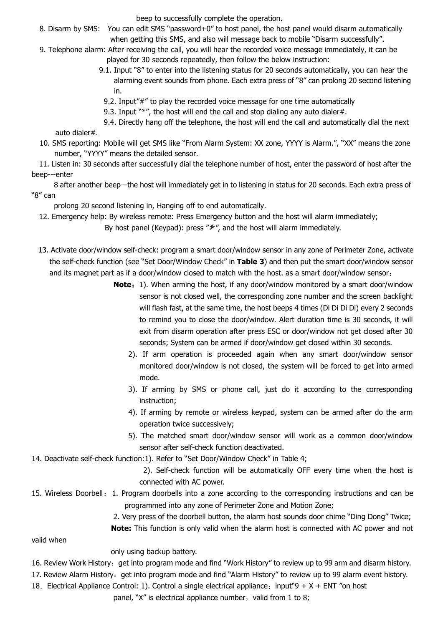beep to successfully complete the operation.

- 8. Disarm by SMS: You can edit SMS "password+0" to host panel, the host panel would disarm automatically when getting this SMS, and also will message back to mobile "Disarm successfully".
- 9. Telephone alarm: After receiving the call, you will hear the recorded voice message immediately, it can be played for 30 seconds repeatedly, then follow the below instruction:
	- 9.1. Input "8" to enter into the listening status for 20 seconds automatically, you can hear the alarming event sounds from phone. Each extra press of "8" can prolong 20 second listening in.
		- 9.2. Input"#" to play the recorded voice message for one time automatically
		- 9.3. Input "\*", the host will end the call and stop dialing any auto dialer#.
	- 9.4. Directly hang off the telephone, the host will end the call and automatically dial the next auto dialer#.
- 10. SMS reporting: Mobile will get SMS like "From Alarm System: XX zone, YYYY is Alarm.", "XX" means the zone number, "YYYY" means the detailed sensor.

11. Listen in: 30 seconds after successfully dial the telephone number of host, enter the password of host after the beep---enter

8 after another beep—the host will immediately get in to listening in status for 20 seconds. Each extra press of "8" can

prolong 20 second listening in, Hanging off to end automatically.

12. Emergency help: By wireless remote: Press Emergency button and the host will alarm immediately;

By host panel (Keypad): press " $\not\hspace{-.15cm}\mathcal{F}$ ", and the host will alarm immediately.

- 13. Activate door/window self-check: program a smart door/window sensor in any zone of Perimeter Zone, activate the self-check function (see "Set Door/Window Check" in **Table 3**) and then put the smart door/window sensor and its magnet part as if a door/window closed to match with the host. as a smart door/window sensor;
	- **Note**:1). When arming the host, if any door/window monitored by a smart door/window sensor is not closed well, the corresponding zone number and the screen backlight will flash fast, at the same time, the host beeps 4 times (Di Di Di Di) every 2 seconds to remind you to close the door/window. Alert duration time is 30 seconds, it will exit from disarm operation after press ESC or door/window not get closed after 30 seconds; System can be armed if door/window get closed within 30 seconds.
		- 2). If arm operation is proceeded again when any smart door/window sensor monitored door/window is not closed, the system will be forced to get into armed mode.
		- 3). If arming by SMS or phone call, just do it according to the corresponding instruction;
		- 4). If arming by remote or wireless keypad, system can be armed after do the arm operation twice successively;
		- 5). The matched smart door/window sensor will work as a common door/window sensor after self-check function deactivated.
- 14. Deactivate self-check function:1). Refer to "Set Door/Window Check" in Table 4;
	- 2). Self-check function will be automatically OFF every time when the host is connected with AC power.
- 15. Wireless Doorbell:1. Program doorbells into a zone according to the corresponding instructions and can be programmed into any zone of Perimeter Zone and Motion Zone;
	- 2. Very press of the doorbell button, the alarm host sounds door chime "Ding Dong" Twice;
	- **Note:** This function is only valid when the alarm host is connected with AC power and not

valid when

- only using backup battery.
- 16. Review Work History: get into program mode and find "Work History" to review up to 99 arm and disarm history.
- 17. Review Alarm History: get into program mode and find "Alarm History" to review up to 99 alarm event history.
- 18. Electrical Appliance Control: 1). Control a single electrical appliance: input"9 + X + ENT "on host
	- panel, "X" is electrical appliance number, valid from 1 to 8;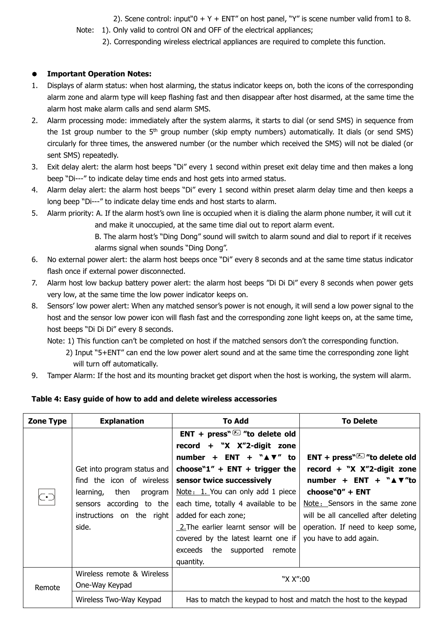2). Scene control: input  $0 + Y + ENT''$  on host panel, "Y" is scene number valid from 1 to 8.

Note: 1). Only valid to control ON and OFF of the electrical appliances;

2). Corresponding wireless electrical appliances are required to complete this function.

# **Important Operation Notes:**

- 1. Displays of alarm status: when host alarming, the status indicator keeps on, both the icons of the corresponding alarm zone and alarm type will keep flashing fast and then disappear after host disarmed, at the same time the alarm host make alarm calls and send alarm SMS.
- 2. Alarm processing mode: immediately after the system alarms, it starts to dial (or send SMS) in sequence from the 1st group number to the 5<sup>th</sup> group number (skip empty numbers) automatically. It dials (or send SMS) circularly for three times, the answered number (or the number which received the SMS) will not be dialed (or sent SMS) repeatedly.
- 3. Exit delay alert: the alarm host beeps "Di" every 1 second within preset exit delay time and then makes a long beep "Di---" to indicate delay time ends and host gets into armed status.
- 4. Alarm delay alert: the alarm host beeps "Di" every 1 second within preset alarm delay time and then keeps a long beep "Di---" to indicate delay time ends and host starts to alarm.
- 5. Alarm priority: A. If the alarm host's own line is occupied when it is dialing the alarm phone number, it will cut it and make it unoccupied, at the same time dial out to report alarm event.
	- B. The alarm host's "Ding Dong" sound will switch to alarm sound and dial to report if it receives alarms signal when sounds "Ding Dong".
- 6. No external power alert: the alarm host beeps once "Di" every 8 seconds and at the same time status indicator flash once if external power disconnected.
- 7. Alarm host low backup battery power alert: the alarm host beeps "Di Di Di" every 8 seconds when power gets very low, at the same time the low power indicator keeps on.
- 8. Sensors' low power alert: When any matched sensor's power is not enough, it will send a low power signal to the host and the sensor low power icon will flash fast and the corresponding zone light keeps on, at the same time, host beeps "Di Di Di" every 8 seconds.
	- Note: 1) This function can't be completed on host if the matched sensors don't the corresponding function.
		- 2) Input "5+ENT" can end the low power alert sound and at the same time the corresponding zone light will turn off automatically.
- 9. Tamper Alarm: If the host and its mounting bracket get disport when the host is working, the system will alarm.

# **Table 4: Easy guide of how to add and delete wireless accessories**

| Zone Type                  | <b>Explanation</b>           | To Add                                                           | <b>To Delete</b>                                      |
|----------------------------|------------------------------|------------------------------------------------------------------|-------------------------------------------------------|
|                            |                              | ENT + press" $E$ "to delete old                                  |                                                       |
|                            |                              | record + "X X"2-digit zone                                       |                                                       |
|                            |                              | number + ENT + $``\blacktriangle \blacktriangledown"$ to         | ENT + press" $\sqrt{2}$ " to delete old               |
|                            | Get into program status and  | choose" $1''$ + ENT + trigger the                                | record + "X $X$ "2-digit zone                         |
|                            | find the icon of wireless    | sensor twice successively                                        | number + ENT + $``\triangle$ $\blacktriangledown$ "to |
| $\bar{\mathbb{C}}^\bullet$ | learning,<br>then<br>program | Note: 1. You can only add 1 piece                                | choose"0" + ENT                                       |
|                            | sensors according to the     | each time, totally 4 available to be                             | Note: Sensors in the same zone                        |
|                            | instructions on the right    | added for each zone;                                             | will be all cancelled after deleting                  |
|                            | side.                        | 2. The earlier learnt sensor will be                             | operation. If need to keep some,                      |
|                            |                              | covered by the latest learnt one if                              | you have to add again.                                |
|                            |                              | exceeds the supported remote                                     |                                                       |
|                            |                              | quantity.                                                        |                                                       |
|                            | Wireless remote & Wireless   |                                                                  |                                                       |
| Remote                     | One-Way Keypad               | "X X":00                                                         |                                                       |
|                            | Wireless Two-Way Keypad      | Has to match the keypad to host and match the host to the keypad |                                                       |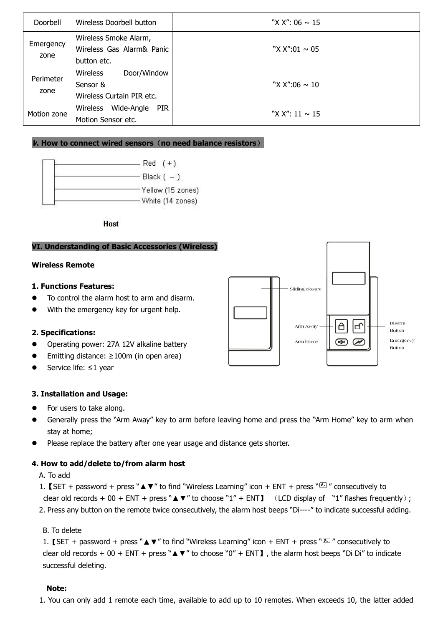| Doorbell    | Wireless Doorbell button                           | "X X": 06 $\sim$ 15 |
|-------------|----------------------------------------------------|---------------------|
| Emergency   | Wireless Smoke Alarm,<br>Wireless Gas Alarm& Panic | "X X":01 $\sim$ 05  |
| zone        | button etc.                                        |                     |
| Perimeter   | <b>Wireless</b><br>Door/Window                     |                     |
| zone        | Sensor &                                           | "X X":06 $\sim$ 10  |
|             | Wireless Curtain PIR etc.                          |                     |
|             | Wide-Angle<br>PIR<br>Wireless                      | "X X": 11 $\sim$ 15 |
| Motion zone | Motion Sensor etc.                                 |                     |

# **V. How to connect wired sensors**(**no need balance resistors**)



**Host** 

#### **VI. Understanding of Basic Accessories (Wireless)**

#### **Wireless Remote**

#### **1. Functions Features:**

- $\bullet$  To control the alarm host to arm and disarm.
- With the emergency key for urgent help.



- Operating power: 27A 12V alkaline battery
- Emitting distance: ≥100m (in open area)
- Service life: ≤1 year

# **3. Installation and Usage:**

- For users to take along.
- Generally press the "Arm Away" key to arm before leaving home and press the "Arm Home" key to arm when stay at home;
- Please replace the battery after one year usage and distance gets shorter.

#### **4. How to add/delete to/from alarm host**

- A. To add
- 1. 【SET + password + press " $\blacktriangle$  ▼" to find "Wireless Learning" icon + ENT + press " $\mathbb{Z}$ " consecutively to clear old records + 00 + ENT + press " $\blacktriangle$   $\blacktriangledown$ " to choose "1" + ENT ] (LCD display of "1" flashes frequently);

2. Press any button on the remote twice consecutively, the alarm host beeps "Di----" to indicate successful adding.

#### B. To delete

1. 【SET + password + press " $\blacktriangle \blacktriangledown$ " to find "Wireless Learning" icon + ENT + press " $\mathbb{Z}$ " consecutively to clear old records + 00 + ENT + press " $\blacktriangle$   $\blacktriangledown$ " to choose "0" + ENT ], the alarm host beeps "Di Di" to indicate successful deleting.

#### **Note:**

1. You can only add 1 remote each time, available to add up to 10 remotes. When exceeds 10, the latter added

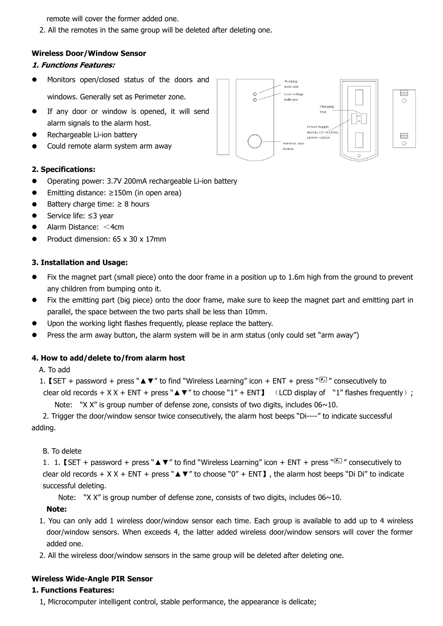remote will cover the former added one.

2. All the remotes in the same group will be deleted after deleting one.

#### **Wireless Door/Window Sensor**

#### **1. Functions Features:**

- $\bullet$  Monitors open/closed status of the doors and  $\Box$ windows. Generally set as Perimeter zone.
- **•** If any door or window is opened, it will send alarm signals to the alarm host.
- Rechargeable Li-ion battery
- Could remote alarm system arm away

#### **2. Specifications:**

- Operating power: 3.7V 200mA rechargeable Li-ion battery
- Emitting distance: ≥150m (in open area)
- $\bullet$  Battery charge time:  $\geq 8$  hours
- Service life: ≤3 year
- Alarm Distance: <4cm
- Product dimension: 65 x 30 x 17mm

#### **3. Installation and Usage:**

- $\bullet$  Fix the magnet part (small piece) onto the door frame in a position up to 1.6m high from the ground to prevent any children from bumping onto it.
- Fix the emitting part (big piece) onto the door frame, make sure to keep the magnet part and emitting part in parallel, the space between the two parts shall be less than 10mm.
- Upon the working light flashes frequently, please replace the battery.
- Press the arm away button, the alarm system will be in arm status (only could set "arm away")

#### **4. How to add/delete to/from alarm host**

A. To add

```
1. [SET + password + press "\triangle \blacktriangledown" to find "Wireless Learning" icon + ENT + press "<sup>[25]</sup>" consecutively to
 clear old records + X X + ENT + press " \triangle V" to choose "1" + ENT J (LCD display of "1" flashes frequently);
```
Note: "X X" is group number of defense zone, consists of two digits, includes  $06 \sim 10$ .

2. Trigger the door/window sensor twice consecutively, the alarm host beeps "Di----" to indicate successful adding.

#### B. To delete

1. 1. 【SET + password + press " $\blacktriangle$   $\blacktriangledown$ " to find "Wireless Learning" icon + ENT + press "<sup>{{}}</sup> consecutively to clear old records +  $X X + ENT + press " \blacktriangle \blacktriangledown"$  to choose "0" + ENT ], the alarm host beeps "Di Di" to indicate successful deleting.

Note: "X X" is group number of defense zone, consists of two digits, includes  $06 \sim 10$ .

#### **Note:**

- 1. You can only add 1 wireless door/window sensor each time. Each group is available to add up to 4 wireless door/window sensors. When exceeds 4, the latter added wireless door/window sensors will cover the former added one.
- 2. All the wireless door/window sensors in the same group will be deleted after deleting one.

#### **Wireless Wide-Angle PIR Sensor**

#### **1. Functions Features:**

1, Microcomputer intelligent control, stable performance, the appearance is delicate;

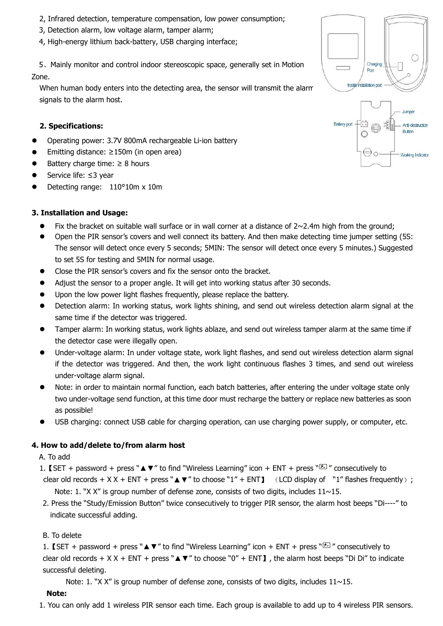- 2, Infrared detection, temperature compensation, low power consumption;
- 3, Detection alarm, low voltage alarm, tamper alarm;
- 4, High-energy lithium back-battery, USB charging interface;

5. Mainly monitor and control indoor stereoscopic space, generally set in Motion  $\Box$ Zone.

When human body enters into the detecting area, the sensor will transmit the alarm the strest restallation port signals to the alarm host.

#### **2. Specifications:**

- Operating power: 3.7V 800mA rechargeable Li-ion battery
- Emitting distance: ≥150m (in open area)
- Battery charge time:  $\geq 8$  hours
- Service life: ≤3 year
- Detecting range: 110°10m x 10m

#### **3. Installation and Usage:**

- Fix the bracket on suitable wall surface or in wall corner at a distance of  $2 \sim 2.4$ m high from the ground;
- Open the PIR sensor's covers and well connect its battery. And then make detecting time jumper setting (5S: The sensor will detect once every 5 seconds; 5MIN: The sensor will detect once every 5 minutes.) Suggested to set 5S for testing and 5MIN for normal usage.
- Close the PIR sensor's covers and fix the sensor onto the bracket.
- Adjust the sensor to a proper angle. It will get into working status after 30 seconds.
- Upon the low power light flashes frequently, please replace the battery.
- Detection alarm: In working status, work lights shining, and send out wireless detection alarm signal at the same time if the detector was triggered.
- Tamper alarm: In working status, work lights ablaze, and send outwireless tamper alarm at the same time if the detector case were illegally open.
- Under-voltage alarm: In under voltage state, work light flashes, and send outwireless detection alarm signal if the detector was triggered. And then, the work light continuous flashes 3 times, and send out wireless under-voltage alarm signal.
- Note: in order to maintain normal function, each batch batteries, after entering the under voltage state only two under-voltage send function, at this time door must recharge the battery or replace new batteries as soon as possible!
- USB charging: connect USB cable for charging operation, can use charging power supply, or computer, etc.

#### **4. How to add/delete to/from alarm host**

#### A. To add

- 1. 【SET + password + press " $\blacktriangle \blacktriangledown$ " to find "Wireless Learning" icon + ENT + press " $\mathbb{Z}$ " consecutively to clear old records +  $X X + ENT + press " \blacktriangle \blacktriangledown"$  to choose "1" + ENT ] (LCD display of "1" flashes frequently); Note: 1. "X X" is group number of defense zone, consists of two digits, includes  $11 \sim 15$ .
- 2. Press the "Study/Emission Button" twice consecutively to trigger PIR sensor, the alarm host beeps "Di----" to indicate successful adding.

#### B. To delete

1. 【SET + password + press " $\blacktriangle \blacktriangledown$ " to find "Wireless Learning" icon + ENT + press "E m consecutively to clear old records +  $X X + ENT + press " \triangle V"$  to choose "0" + ENT ], the alarm host beeps "Di Di" to indicate successful deleting.

Note: 1. "X X" is group number of defense zone, consists of two digits, includes  $11 \sim 15$ .

#### **Note:**

1. You can only add 1 wireless PIR sensor each time. Each group is available to add up to 4 wireless PIR sensors.



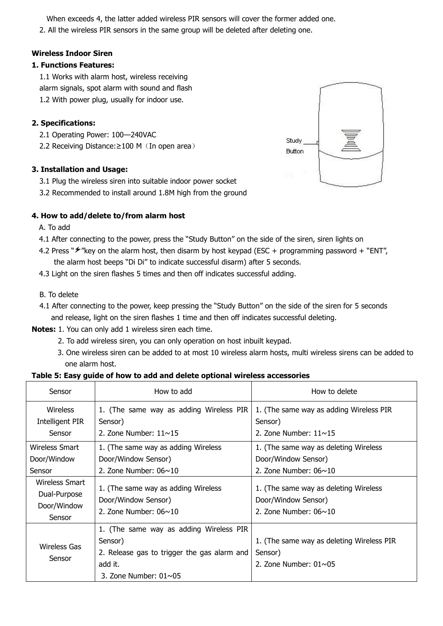When exceeds 4, the latter added wireless PIR sensors will cover the former added one.

2. All the wireless PIR sensors in the same group will be deleted after deleting one.

# **Wireless Indoor Siren**

### **1. Functions Features:**

1.1 Works with alarm host, wireless receiving alarm signals, spot alarm with sound and flash 1.2 With power plug, usually for indoor use.

# **2. Specifications:**

- 2.1 Operating Power: 100—240VAC
- 2.2 Receiving Distance: ≥100 M (In open area) Study Study.

# **3. Installation and Usage:**

- 3.1 Plug the wireless siren into suitable indoor power socket
- 3.2 Recommended to install around 1.8M high from the ground

# **4. How to add/delete to/from alarm host**

A. To add

- 4.1 After connecting to the power, press the "Study Button" on the side of the siren, siren lights on
- 4.2 Press " $\frac{4}{2}$ " key on the alarm host, then disarm by host keypad (ESC + programming password + "ENT", the alarm host beeps "Di Di" to indicate successful disarm) after 5 seconds.
- 4.3 Light on the siren flashes 5 times and then off indicates successful adding.
- B. To delete
- 4.1 After connecting to the power, keep pressing the "Study Button" on the side of the siren for 5 seconds and release, light on the siren flashes 1 time and then off indicates successful deleting.
- **Notes:** 1.You can only add 1 wireless siren each time.
	- 2. To add wireless siren, you can only operation on host inbuilt keypad.
	- 3. One wireless siren can be added to at most 10 wireless alarm hosts, multi wireless sirens can be added to one alarm host.

#### **Table 5: Easy guide of how to add and delete optional wireless accessories**

| Sensor                                                  | How to add                                                                                                                                   | How to delete                                                                                |
|---------------------------------------------------------|----------------------------------------------------------------------------------------------------------------------------------------------|----------------------------------------------------------------------------------------------|
| Wireless<br>Intelligent PIR<br>Sensor                   | 1. (The same way as adding Wireless PIR<br>Sensor)<br>2. Zone Number: $11 \sim 15$                                                           | 1. (The same way as adding Wireless PIR<br>Sensor)<br>2. Zone Number: $11 \sim 15$           |
| Wireless Smart<br>Door/Window<br>Sensor                 | 1. (The same way as adding Wireless<br>Door/Window Sensor)<br>2. Zone Number: $06 \sim 10$                                                   | 1. (The same way as deleting Wireless<br>Door/Window Sensor)<br>2. Zone Number: $06 \sim 10$ |
| Wireless Smart<br>Dual-Purpose<br>Door/Window<br>Sensor | 1. (The same way as adding Wireless<br>Door/Window Sensor)<br>2. Zone Number: $06 \sim 10$                                                   | 1. (The same way as deleting Wireless<br>Door/Window Sensor)<br>2. Zone Number: $06 \sim 10$ |
| <b>Wireless Gas</b><br>Sensor                           | 1. (The same way as adding Wireless PIR<br>Sensor)<br>2. Release gas to trigger the gas alarm and<br>add it.<br>3. Zone Number: $01 \sim 05$ | 1. (The same way as deleting Wireless PIR<br>Sensor)<br>2. Zone Number: $01 \sim 05$         |

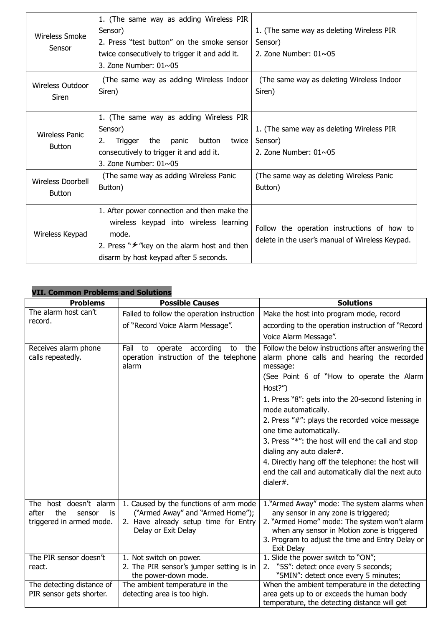| <b>Wireless Smoke</b><br>Sensor        | 1. (The same way as adding Wireless PIR<br>Sensor)<br>2. Press "test button" on the smoke sensor<br>twice consecutively to trigger it and add it.<br>3. Zone Number: $01 \sim 05$             | 1. (The same way as deleting Wireless PIR<br>Sensor)<br>2. Zone Number: $01 \sim 05$           |
|----------------------------------------|-----------------------------------------------------------------------------------------------------------------------------------------------------------------------------------------------|------------------------------------------------------------------------------------------------|
| <b>Wireless Outdoor</b><br>Siren       | (The same way as adding Wireless Indoor<br>Siren)                                                                                                                                             | (The same way as deleting Wireless Indoor<br>Siren)                                            |
| <b>Wireless Panic</b><br><b>Button</b> | 1. (The same way as adding Wireless PIR<br>Sensor)<br>the panic<br>button twice<br>Trigger<br>2.<br>consecutively to trigger it and add it.<br>3. Zone Number: $01 \sim 05$                   | 1. (The same way as deleting Wireless PIR<br>Sensor)<br>2. Zone Number: $01 \sim 05$           |
| Wireless Doorbell<br><b>Button</b>     | (The same way as adding Wireless Panic<br>Button)                                                                                                                                             | (The same way as deleting Wireless Panic<br>Button)                                            |
| Wireless Keypad                        | 1. After power connection and then make the<br>wireless keypad into wireless learning<br>mode.<br>2. Press " $\neq$ "key on the alarm host and then<br>disarm by host keypad after 5 seconds. | Follow the operation instructions of how to<br>delete in the user's manual of Wireless Keypad. |

# **VII. Common Problems and Solutions**

| <b>Problems</b>                           | <b>Possible Causes</b>                                                                          | <b>Solutions</b>                                                                                                                                         |
|-------------------------------------------|-------------------------------------------------------------------------------------------------|----------------------------------------------------------------------------------------------------------------------------------------------------------|
| The alarm host can't                      | Failed to follow the operation instruction                                                      | Make the host into program mode, record                                                                                                                  |
| record.                                   | of "Record Voice Alarm Message".                                                                | according to the operation instruction of "Record"                                                                                                       |
|                                           |                                                                                                 | Voice Alarm Message".                                                                                                                                    |
| Receives alarm phone<br>calls repeatedly. | operate according<br>Fail<br>to<br>to<br>the<br>operation instruction of the telephone<br>alarm | Follow the below instructions after answering the<br>alarm phone calls and hearing the recorded<br>message:<br>(See Point 6 of "How to operate the Alarm |
|                                           |                                                                                                 | Host?")                                                                                                                                                  |
|                                           |                                                                                                 | 1. Press "8": gets into the 20-second listening in<br>mode automatically.                                                                                |
|                                           |                                                                                                 | 2. Press "#": plays the recorded voice message<br>one time automatically.                                                                                |
|                                           |                                                                                                 | 3. Press "*": the host will end the call and stop                                                                                                        |
|                                           |                                                                                                 | dialing any auto dialer#.                                                                                                                                |
|                                           |                                                                                                 | 4. Directly hang off the telephone: the host will                                                                                                        |
|                                           |                                                                                                 | end the call and automatically dial the next auto                                                                                                        |
|                                           |                                                                                                 | dialer#.                                                                                                                                                 |
| The host doesn't alarm                    | 1. Caused by the functions of arm mode                                                          | 1."Armed Away" mode: The system alarms when                                                                                                              |
| the<br>after<br>sensor<br>is              | ("Armed Away" and "Armed Home");                                                                | any sensor in any zone is triggered;                                                                                                                     |
| triggered in armed mode.                  | 2. Have already setup time for Entry                                                            | 2. "Armed Home" mode: The system won't alarm                                                                                                             |
|                                           | Delay or Exit Delay                                                                             | when any sensor in Motion zone is triggered                                                                                                              |
|                                           |                                                                                                 | 3. Program to adjust the time and Entry Delay or<br>Exit Delay                                                                                           |
| The PIR sensor doesn't                    | 1. Not switch on power.                                                                         | 1. Slide the power switch to "ON";                                                                                                                       |
| react.                                    | 2. The PIR sensor's jumper setting is in                                                        | 2. "5S": detect once every 5 seconds;                                                                                                                    |
|                                           | the power-down mode.                                                                            | "5MIN": detect once every 5 minutes;                                                                                                                     |
| The detecting distance of                 | The ambient temperature in the                                                                  | When the ambient temperature in the detecting                                                                                                            |
| PIR sensor gets shorter.                  | detecting area is too high.                                                                     | area gets up to or exceeds the human body                                                                                                                |
|                                           |                                                                                                 | temperature, the detecting distance will get                                                                                                             |